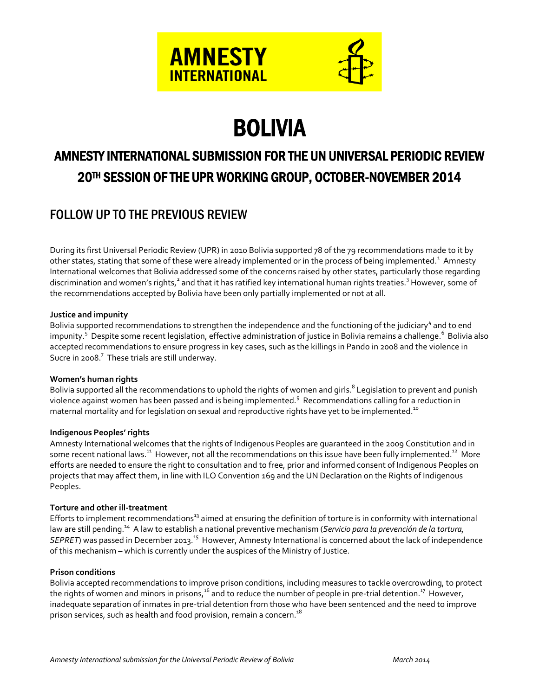

# BOLIVIA

# AMNESTY INTERNATIONAL SUBMISSION FOR THE UN UNIVERSAL PERIODIC REVIEW 20TH SESSION OF THE UPR WORKING GROUP, OCTOBER-NOVEMBER 2014

# FOLLOW UP TO THE PREVIOUS REVIEW

During its first Universal Periodic Review (UPR) in 2010 Bolivia supported 78 of the 79 recommendations made to it by other states, stating that some of these were already implemented or in the process of being implemented.<sup>1</sup> Amnesty International welcomes that Bolivia addressed some of the concerns raised by other states, particularly those regarding discrimination and women's rights,<sup>2</sup> and that it has ratified key international human rights treaties.<sup>3</sup> However, some of the recommendations accepted by Bolivia have been only partially implemented or not at all.

## **Justice and impunity**

Bolivia supported recommendations to strengthen the independence and the functioning of the judiciary<sup>4</sup> and to end impunity.<sup>5</sup> Despite some recent legislation, effective administration of justice in Bolivia remains a challenge.<sup>6</sup> Bolivia also accepted recommendations to ensure progress in key cases, such as the killings in Pando in 2008 and the violence in Sucre in 2008.<sup>7</sup> These trials are still underway.

## **Women's human rights**

Bolivia supported all the recommendations to uphold the rights of women and girls.<sup>8</sup> Legislation to prevent and punish violence against women has been passed and is being implemented.<sup>9</sup> Recommendations calling for a reduction in maternal mortality and for legislation on sexual and reproductive rights have yet to be implemented.<sup>10</sup>

## **Indigenous Peoples' rights**

Amnesty International welcomes that the rights of Indigenous Peoples are guaranteed in the 2009 Constitution and in some recent national laws.<sup>11</sup> However, not all the recommendations on this issue have been fully implemented.<sup>12</sup> More efforts are needed to ensure the right to consultation and to free, prior and informed consent of Indigenous Peoples on projects that may affect them, in line with ILO Convention 169 and the UN Declaration on the Rights of Indigenous Peoples.

## **Torture and other ill-treatment**

Efforts to implement recommendations<sup>13</sup> aimed at ensuring the definition of torture is in conformity with international law are still pending.<sup>14</sup> A law to establish a national preventive mechanism (Servicio para la prevención de la tortura, SEPRET) was passed in December 2013.<sup>15</sup> However, Amnesty International is concerned about the lack of independence of this mechanism – which is currently under the auspices of the Ministry of Justice.

#### **Prison conditions**

Bolivia accepted recommendations to improve prison conditions, including measures to tackle overcrowding, to protect the rights of women and minors in prisons, $^{16}$  and to reduce the number of people in pre-trial detention. $^{17}$  However, inadequate separation of inmates in pre-trial detention from those who have been sentenced and the need to improve prison services, such as health and food provision, remain a concern.<sup>18</sup>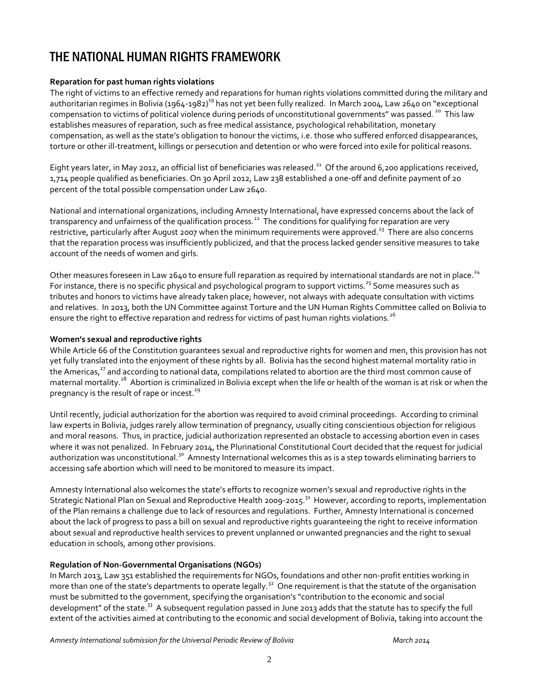# THE NATIONAL HUMAN RIGHTS FRAMEWORK

# **Reparation for past human rights violations**

The right of victims to an effective remedy and reparations for human rights violations committed during the military and authoritarian regimes in Bolivia (1964-1982)<sup>19</sup> has not yet been fully realized. In March 2004, Law 2640 on "exceptional compensation to victims of political violence during periods of unconstitutional governments" was passed*.* <sup>20</sup> This law establishes measures of reparation, such as free medical assistance, psychological rehabilitation, monetary compensation, as well as the state's obligation to honour the victims, i.e. those who suffered enforced disappearances, torture or other ill-treatment, killings or persecution and detention or who were forced into exile for political reasons.

Eight years later, in May 2012, an official list of beneficiaries was released.<sup>21</sup> Of the around 6,200 applications received, 1,714 people qualified as beneficiaries. On 30 April 2012, Law 238 established a one-off and definite payment of 20 percent of the total possible compensation under Law 2640.

National and international organizations, including Amnesty International, have expressed concerns about the lack of transparency and unfairness of the qualification process.<sup>22</sup> The conditions for qualifying for reparation are very restrictive, particularly after August 2007 when the minimum requirements were approved.<sup>23</sup> There are also concerns that the reparation process was insufficiently publicized, and that the process lacked gender sensitive measures to take account of the needs of women and girls.

Other measures foreseen in Law 2640 to ensure full reparation as required by international standards are not in place.<sup>24</sup> For instance, there is no specific physical and psychological program to support victims.<sup>25</sup> Some measures such as tributes and honors to victims have already taken place; however, not always with adequate consultation with victims and relatives. In 2013, both the UN Committee against Torture and the UN Human Rights Committee called on Bolivia to ensure the right to effective reparation and redress for victims of past human rights violations.<sup>26</sup>

## **Women's sexual and reproductive rights**

While Article 66 of the Constitution guarantees sexual and reproductive rights for women and men, this provision has not yet fully translated into the enjoyment of these rights by all. Bolivia has the second highest maternal mortality ratio in the Americas,<sup>27</sup> and according to national data, compilations related to abortion are the third most common cause of maternal mortality.<sup>28</sup> Abortion is criminalized in Bolivia except when the life or health of the woman is at risk or when the pregnancy is the result of rape or incest. $^{29}$ 

Until recently, judicial authorization for the abortion was required to avoid criminal proceedings. According to criminal law experts in Bolivia, judges rarely allow termination of pregnancy, usually citing conscientious objection for religious and moral reasons. Thus, in practice, judicial authorization represented an obstacle to accessing abortion even in cases where it was not penalized. In February 2014, the Plurinational Constitutional Court decided that the request for judicial authorization was unconstitutional.<sup>30</sup> Amnesty International welcomes this as is a step towards eliminating barriers to accessing safe abortion which will need to be monitored to measure its impact.

Amnesty International also welcomes the state's efforts to recognize women's sexual and reproductive rights in the Strategic National Plan on Sexual and Reproductive Health 2009-2015.<sup>31</sup> However, according to reports, implementation of the Plan remains a challenge due to lack of resources and regulations. Further, Amnesty International is concerned about the lack of progress to pass a bill on sexual and reproductive rights guaranteeing the right to receive information about sexual and reproductive health services to prevent unplanned or unwanted pregnancies and the right to sexual education in schools, among other provisions.

## **Regulation of Non-Governmental Organisations (NGOs)**

In March 2013, Law 351 established the requirements for NGOs, foundations and other non-profit entities working in more than one of the state's departments to operate legally.<sup>32</sup> One requirement is that the statute of the organisation must be submitted to the government, specifying the organisation's "contribution to the economic and social development" of the state.<sup>33</sup> A subsequent regulation passed in June 2013 adds that the statute has to specify the full extent of the activities aimed at contributing to the economic and social development of Bolivia, taking into account the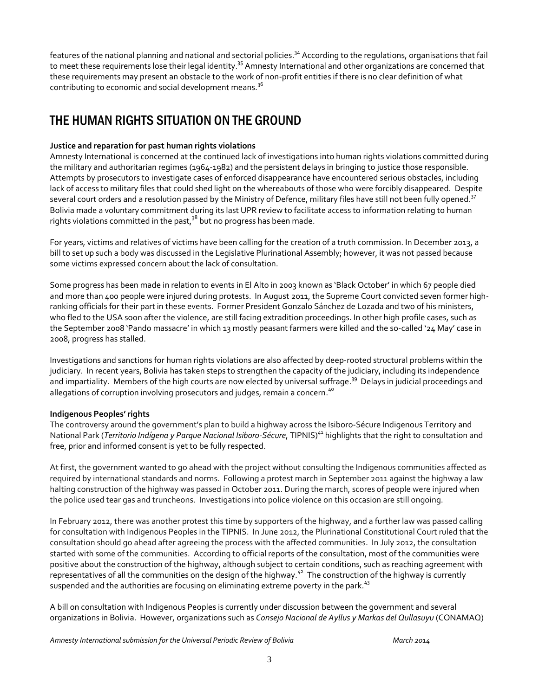features of the national planning and national and sectorial policies.<sup>34</sup> According to the regulations, organisations that fail to meet these requirements lose their legal identity.<sup>35</sup> Amnesty International and other organizations are concerned that these requirements may present an obstacle to the work of non-profit entities if there is no clear definition of what contributing to economic and social development means.<sup>36</sup>

# THE HUMAN RIGHTS SITUATION ON THE GROUND

# **Justice and reparation for past human rights violations**

Amnesty International is concerned at the continued lack of investigations into human rights violations committed during the military and authoritarian regimes (1964-1982) and the persistent delays in bringing to justice those responsible. Attempts by prosecutors to investigate cases of enforced disappearance have encountered serious obstacles, including lack of access to military files that could shed light on the whereabouts of those who were forcibly disappeared. Despite several court orders and a resolution passed by the Ministry of Defence, military files have still not been fully opened.<sup>37</sup> Bolivia made a voluntary commitment during its last UPR review to facilitate access to information relating to human rights violations committed in the past,  $3^8$  but no progress has been made.

For years, victims and relatives of victims have been calling for the creation of a truth commission. In December 2013, a bill to set up such a body was discussed in the Legislative Plurinational Assembly; however, it was not passed because some victims expressed concern about the lack of consultation.

Some progress has been made in relation to events in El Alto in 2003 known as 'Black October' in which 67 people died and more than 400 people were injured during protests. In August 2011, the Supreme Court convicted seven former highranking officials for their part in these events. Former President Gonzalo Sánchez de Lozada and two of his ministers, who fled to the USA soon after the violence, are still facing extradition proceedings. In other high profile cases, such as the September 2008 'Pando massacre' in which 13 mostly peasant farmers were killed and the so-called '24 May' case in 2008, progress has stalled.

Investigations and sanctions for human rights violations are also affected by deep-rooted structural problems within the judiciary. In recent years, Bolivia has taken steps to strengthen the capacity of the judiciary, including its independence and impartiality. Members of the high courts are now elected by universal suffrage. <sup>39</sup> Delays in judicial proceedings and allegations of corruption involving prosecutors and judges, remain a concern.<sup>40</sup>

# **Indigenous Peoples' rights**

The controversy around the government's plan to build a highway across the Isiboro-Sécure Indigenous Territory and National Park (*Territorio Indígena y Parque Nacional Isiboro-Sécure*, TIPNIS)<sup>41</sup> highlights that the right to consultation and free, prior and informed consent is yet to be fully respected.

At first, the government wanted to go ahead with the project without consulting the Indigenous communities affected as required by international standards and norms. Following a protest march in September 2011 against the highway a law halting construction of the highway was passed in October 2011. During the march, scores of people were injured when the police used tear gas and truncheons. Investigations into police violence on this occasion are still ongoing.

In February 2012, there was another protest this time by supporters of the highway, and a further law was passed calling for consultation with Indigenous Peoples in the TIPNIS. In June 2012, the Plurinational Constitutional Court ruled that the consultation should go ahead after agreeing the process with the affected communities. In July 2012, the consultation started with some of the communities. According to official reports of the consultation, most of the communities were positive about the construction of the highway, although subject to certain conditions, such as reaching agreement with representatives of all the communities on the design of the highway.<sup>42</sup> The construction of the highway is currently suspended and the authorities are focusing on eliminating extreme poverty in the park.<sup>43</sup>

A bill on consultation with Indigenous Peoples is currently under discussion between the government and several organizations in Bolivia. However, organizations such as *Consejo Nacional de Ayllus y Markas del Qullasuyu* (CONAMAQ)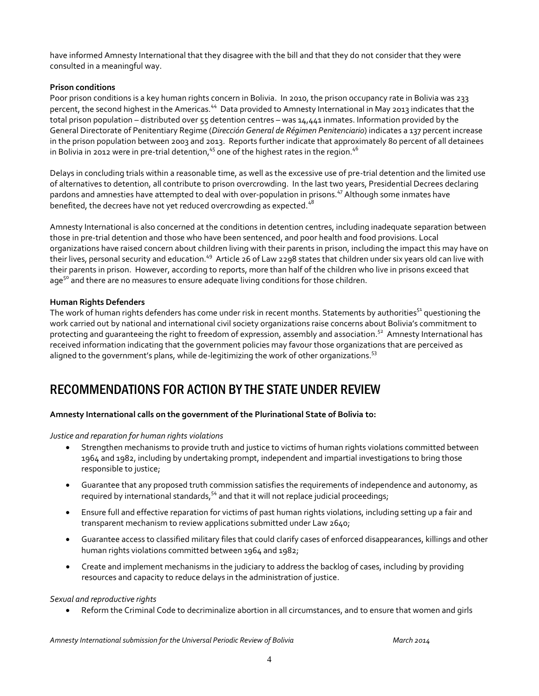have informed Amnesty International that they disagree with the bill and that they do not consider that they were consulted in a meaningful way.

## **Prison conditions**

Poor prison conditions is a key human rights concern in Bolivia. In 2010, the prison occupancy rate in Bolivia was 233 percent, the second highest in the Americas.<sup>44</sup> Data provided to Amnesty International in May 2013 indicates that the total prison population – distributed over 55 detention centres – was 14,441 inmates. Information provided by the General Directorate of Penitentiary Regime (*Dirección General de Régimen Penitenciario*) indicates a 137 percent increase in the prison population between 2003 and 2013. Reports further indicate that approximately 80 percent of all detainees in Bolivia in 2012 were in pre-trial detention,<sup>45</sup> one of the highest rates in the region.<sup>46</sup>

Delays in concluding trials within a reasonable time, as well as the excessive use of pre-trial detention and the limited use of alternatives to detention, all contribute to prison overcrowding. In the last two years, Presidential Decrees declaring pardons and amnesties have attempted to deal with over-population in prisons.<sup>47</sup> Although some inmates have benefited, the decrees have not yet reduced overcrowding as expected. $48$ 

Amnesty International is also concerned at the conditions in detention centres, including inadequate separation between those in pre-trial detention and those who have been sentenced, and poor health and food provisions. Local organizations have raised concern about children living with their parents in prison, including the impact this may have on their lives, personal security and education.<sup>49</sup> Article 26 of Law 2298 states that children under six years old can live with their parents in prison. However, according to reports, more than half of the children who live in prisons exceed that age<sup>50</sup> and there are no measures to ensure adequate living conditions for those children.

#### **Human Rights Defenders**

The work of human rights defenders has come under risk in recent months. Statements by authorities<sup>51</sup> questioning the work carried out by national and international civil society organizations raise concerns about Bolivia's commitment to protecting and guaranteeing the right to freedom of expression, assembly and association.<sup>52</sup> Amnesty International has received information indicating that the government policies may favour those organizations that are perceived as aligned to the government's plans, while de-legitimizing the work of other organizations.<sup>53</sup>

# RECOMMENDATIONS FOR ACTION BY THE STATE UNDER REVIEW

#### **Amnesty International calls on the government of the Plurinational State of Bolivia to:**

#### *Justice and reparation for human rights violations*

- Strengthen mechanisms to provide truth and justice to victims of human rights violations committed between 1964 and 1982, including by undertaking prompt, independent and impartial investigations to bring those responsible to justice;
- Guarantee that any proposed truth commission satisfies the requirements of independence and autonomy, as required by international standards, $54$  and that it will not replace judicial proceedings;
- Ensure full and effective reparation for victims of past human rights violations, including setting up a fair and transparent mechanism to review applications submitted under Law 2640;
- Guarantee access to classified military files that could clarify cases of enforced disappearances, killings and other human rights violations committed between 1964 and 1982;
- Create and implement mechanisms in the judiciary to address the backlog of cases, including by providing resources and capacity to reduce delays in the administration of justice.

#### *Sexual and reproductive rights*

Reform the Criminal Code to decriminalize abortion in all circumstances, and to ensure that women and girls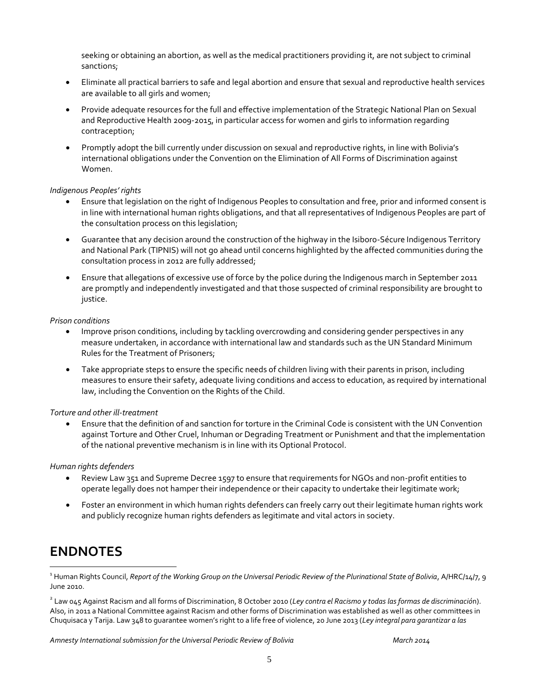seeking or obtaining an abortion, as well as the medical practitioners providing it, are not subject to criminal sanctions;

- Eliminate all practical barriers to safe and legal abortion and ensure that sexual and reproductive health services are available to all girls and women;
- Provide adequate resources for the full and effective implementation of the Strategic National Plan on Sexual and Reproductive Health 2009-2015, in particular access for women and girls to information regarding contraception;
- Promptly adopt the bill currently under discussion on sexual and reproductive rights, in line with Bolivia's international obligations under the Convention on the Elimination of All Forms of Discrimination against Women.

#### *Indigenous Peoples' rights*

- Ensure that legislation on the right of Indigenous Peoples to consultation and free, prior and informed consent is in line with international human rights obligations, and that all representatives of Indigenous Peoples are part of the consultation process on this legislation;
- Guarantee that any decision around the construction of the highway in the Isiboro-Sécure Indigenous Territory and National Park (TIPNIS) will not go ahead until concerns highlighted by the affected communities during the consultation process in 2012 are fully addressed;
- Ensure that allegations of excessive use of force by the police during the Indigenous march in September 2011 are promptly and independently investigated and that those suspected of criminal responsibility are brought to justice.

#### *Prison conditions*

- Improve prison conditions, including by tackling overcrowding and considering gender perspectives in any measure undertaken, in accordance with international law and standards such as the UN Standard Minimum Rules for the Treatment of Prisoners;
- Take appropriate steps to ensure the specific needs of children living with their parents in prison, including measures to ensure their safety, adequate living conditions and access to education, as required by international law, including the Convention on the Rights of the Child.

#### *Torture and other ill-treatment*

 Ensure that the definition of and sanction for torture in the Criminal Code is consistent with the UN Convention against Torture and Other Cruel, Inhuman or Degrading Treatment or Punishment and that the implementation of the national preventive mechanism is in line with its Optional Protocol.

#### *Human rights defenders*

- Review Law 351 and Supreme Decree 1597 to ensure that requirements for NGOs and non-profit entities to operate legally does not hamper their independence or their capacity to undertake their legitimate work;
- Foster an environment in which human rights defenders can freely carry out their legitimate human rights work and publicly recognize human rights defenders as legitimate and vital actors in society.

# **ENDNOTES**

 $\overline{a}$ 

<sup>1</sup> Human Rights Council, *Report of the Working Group on the Universal Periodic Review of the Plurinational State of Bolivia*, A/HRC/14/7, 9 June 2010.

2 Law 045 Against Racism and all forms of Discrimination, 8 October 2010 (*Ley contra el Racismo y todas las formas de discriminació*n). Also, in 2011 a National Committee against Racism and other forms of Discrimination was established as well as other committees in Chuquisaca y Tarija. Law 348 to guarantee women's right to a life free of violence, 20 June 2013 (*Ley integral para garantizar a las*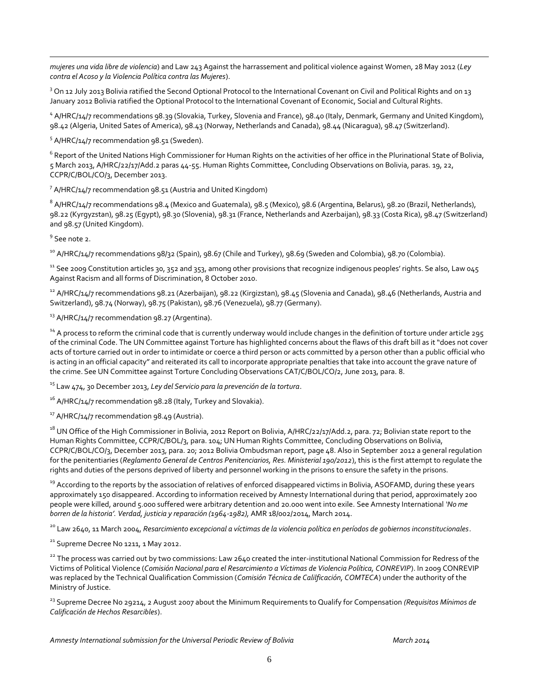$\overline{a}$ *mujeres una vida libre de violencia*) and Law 243 Against the harrassement and political violence against Women, 28 May 2012 (*Ley contra el Acoso y la Violencia Política contra las Mujeres*).

<sup>3</sup> On 12 July 2013 Bolivia ratified the Second Optional Protocol to the International Covenant on Civil and Political Rights and on 13 January 2012 Bolivia ratified the Optional Protocol to the International Covenant of Economic, Social and Cultural Rights.

<sup>4</sup> A/HRC/14/7 recommendations 98.39 (Slovakia, Turkey, Slovenia and France), 98.40 (Italy, Denmark, Germany and United Kingdom), 98.42 (Algeria, United Sates of America), 98.43 (Norway, Netherlands and Canada), 98.44 (Nicaragua), 98.47 (Switzerland).

<sup>5</sup> A/HRC/14/7 recommendation 98.51 (Sweden).

 $^6$  Report of the United Nations High Commissioner for Human Rights on the activities of her office in the Plurinational State of Bolivia, 5 March 2013, A/HRC/22/17/Add.2 paras 44-55. Human Rights Committee, Concluding Observations on Bolivia, paras. 19, 22, CCPR/C/BOL/CO/3, December 2013.

 $^7$  A/HRC/14/7 recommendation 98.51 (Austria and United Kingdom)

 $^8$  A/HRC/14/7 recommendations 98.4 (Mexico and Guatemala), 98.5 (Mexico), 98.6 (Argentina, Belarus), 98.20 (Brazil, Netherlands), 98.22 (Kyrgyzstan), 98.25 (Egypt), 98.30 (Slovenia), 98.31 (France, Netherlands and Azerbaijan), 98.33 (Costa Rica), 98.47 (Switzerland) and 98.57 (United Kingdom).

<sup>9</sup> See note 2.

<sup>10</sup> A/HRC/14/7 recommendations 98/32 (Spain), 98.67 (Chile and Turkey), 98.69 (Sweden and Colombia), 98.70 (Colombia).

 $11$  See 2009 Constitution articles 30, 352 and 353, among other provisions that recognize indigenous peoples' rights. Se also, Law 045 Against Racism and all forms of Discrimination, 8 October 2010.

 $^{12}$  A/HRC/14/7 recommendations 98.21 (Azerbaijan), 98.22 (Kirgizstan), 98.45 (Slovenia and Canada), 98.46 (Netherlands, Austria and Switzerland), 98.74 (Norway), 98.75 (Pakistan), 98.76 (Venezuela), 98.77 (Germany).

 $13$  A/HRC/14/7 recommendation 98.27 (Argentina).

<sup>14</sup> A process to reform the criminal code that is currently underway would include changes in the definition of torture under article 295 of the criminal Code. The UN Committee against Torture has highlighted concerns about the flaws of this draft bill as it "does not cover acts of torture carried out in order to intimidate or coerce a third person or acts committed by a person other than a public official who is acting in an official capacity" and reiterated its call to incorporate appropriate penalties that take into account the grave nature of the crime. See UN Committee against Torture Concluding Observations CAT/C/BOL/CO/2, June 2013, para. 8.

<sup>15</sup> Law 474, 30 December 2013, *Ley del Servicio para la prevención de la tortura*.

 $16$  A/HRC/14/7 recommendation 98.28 (Italy, Turkey and Slovakia).

<sup>17</sup> A/HRC/14/7 recommendation 98.49 (Austria).

<sup>18</sup> UN Office of the High Commissioner in Bolivia, 2012 Report on Bolivia, A/HRC/22/17/Add.2, para. 72; Bolivian state report to the Human Rights Committee, CCPR/C/BOL/3, para. 104; UN Human Rights Committee, Concluding Observations on Bolivia, CCPR/C/BOL/CO/3, December 2013, para. 20; 2012 Bolivia Ombudsman report, page 48. Also in September 2012 a general regulation for the penitentiaries (*Reglamento General de Centros Penitenciarios, Res. Ministerial 190/2012*), this is the first attempt to regulate the rights and duties of the persons deprived of liberty and personnel working in the prisons to ensure the safety in the prisons.

<sup>19</sup> According to the reports by the association of relatives of enforced disappeared victims in Bolivia, ASOFAMD, during these years approximately 150 disappeared. According to information received by Amnesty International during that period, approximately 200 people were killed, around 5.000 suffered were arbitrary detention and 20.000 went into exile. See Amnesty International *'No me borren de la historia'. Verdad, justicia y reparación (1964-1982),* AMR 18/002/2014, March 2014.

<sup>20</sup> Law 2640, 11 March 2004, *Resarcimiento excepcional a víctimas de la violencia política en períodos de gobiernos inconstitucionales*.

 $21$  Supreme Decree No 1211, 1 May 2012.

<sup>22</sup> The process was carried out by two commissions: Law 2640 created the inter-institutional National Commission for Redress of the Victims of Political Violence (*Comisión Nacional para el Resarcimiento a Víctimas de Violencia Política, CONREVIP*). In 2009 CONREVIP was replaced by the Technical Qualification Commission (*Comisión Técnica de Calilficación, COMTECA*) under the authority of the Ministry of Justice.

<sup>23</sup> Supreme Decree No 29214, 2 August 2007 about the Minimum Requirements to Qualify for Compensation *(Requisitos Mínimos de Calificación de Hechos Resarcibles*).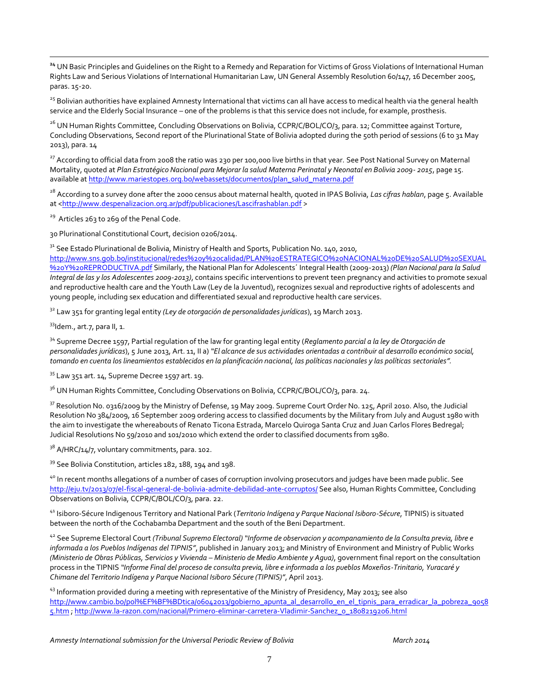**<sup>24</sup>** UN Basic Principles and Guidelines on the Right to a Remedy and Reparation for Victims of Gross Violations of International Human Rights Law and Serious Violations of International Humanitarian Law, UN General Assembly Resolution 60/147, 16 December 2005, paras. 15-20.

<sup>25</sup> Bolivian authorities have explained Amnesty International that victims can all have access to medical health via the general health service and the Elderly Social Insurance – one of the problems is that this service does not include, for example, prosthesis.

<sup>26</sup> UN Human Rights Committee, Concluding Observations on Bolivia, CCPR/C/BOL/CO/3, para. 12; Committee against Torture, Concluding Observations, Second report of the Plurinational State of Bolivia adopted during the 50th period of sessions (6 to 31 May 2013), para. 14

 $^{27}$  According to official data from 2008 the ratio was 230 per 100,000 live births in that year. See Post National Survey on Maternal Mortality, quoted at *Plan Estratégico Nacional para Mejorar la salud Materna Perinatal y Neonatal en Bolivia 2009- 2015*, page 15. available at [http://www.mariestopes.org.bo/webassets/documentos/plan\\_salud\\_materna.pdf](http://www.mariestopes.org.bo/webassets/documentos/plan_salud_materna.pdf)

<sup>28</sup> According to a survey done after the 2000 census about maternal health, quoted in IPAS Bolivia, *Las cifras hablan*, page 5. Available at [<http://www.despenalizacion.org.ar/pdf/publicaciones/Lascifrashablan.pdf](http://www.despenalizacion.org.ar/pdf/publicaciones/Lascifrashablan.pdf) >

<sup>29</sup> Articles 263 to 269 of the Penal Code.

30 Plurinational Constitutional Court, decision 0206/2014.

 $31$  See Estado Plurinational de Bolivia, Ministry of Health and Sports, Publication No. 140, 2010,

[http://www.sns.gob.bo/institucional/redes%20y%20calidad/PLAN%20ESTRATEGICO%20NACIONAL%20DE%20SALUD%20SEXUAL](http://www.sns.gob.bo/institucional/redes%20y%20calidad/PLAN%20ESTRATEGICO%20NACIONAL%20DE%20SALUD%20SEXUAL%20Y%20REPRODUCTIVA.pdf) [%20Y%20REPRODUCTIVA.pdf](http://www.sns.gob.bo/institucional/redes%20y%20calidad/PLAN%20ESTRATEGICO%20NACIONAL%20DE%20SALUD%20SEXUAL%20Y%20REPRODUCTIVA.pdf) Similarly, the National Plan for Adolescents´ Integral Health (2009-2013) *(Plan Nacional para la Salud Integral de las y los Adolescentes 2009-2013)*, contains specific interventions to prevent teen pregnancy and activities to promote sexual and reproductive health care and the Youth Law (Ley de la Juventud), recognizes sexual and reproductive rights of adolescents and young people, including sex education and differentiated sexual and reproductive health care services.

<sup>32</sup> Law 351 for granting legal entity *(Ley de otorgación de personalidades jurídicas*), 19 March 2013.

33Idem., art.7, para II, 1.

 $\overline{a}$ 

<sup>34</sup> Supreme Decree 1597, Partial regulation of the law for granting legal entity (*Reglamento parcial a la ley de Otorgación de personalidades jurídicas*), 5 June 2013, Art. 11, II a) *"El alcance de sus actividades orientadas a contribuir al desarrollo económico social, tomando en cuenta los lineamientos establecidos en la planificación nacional, las políticas nacionales y las políticas sectoriales".*

 $35$  Law 351 art. 14, Supreme Decree 1597 art. 19.

<sup>36</sup> UN Human Rights Committee, Concluding Observations on Bolivia, CCPR/C/BOL/CO/3, para. 24.

 $37$  Resolution No. 0316/2009 by the Ministry of Defense, 19 May 2009. Supreme Court Order No. 125, April 2010. Also, the Judicial Resolution No 384/2009, 16 September 2009 ordering access to classified documents by the Military from July and August 1980 with the aim to investigate the whereabouts of Renato Ticona Estrada, Marcelo Quiroga Santa Cruz and Juan Carlos Flores Bedregal; Judicial Resolutions No 59/2010 and 101/2010 which extend the order to classified documents from 1980.

 $3^8$  A/HRC/14/7, voluntary commitments, para. 102.

<sup>39</sup> See Bolivia Constitution, articles 182, 188, 194 and 198.

<sup>40</sup> In recent months allegations of a number of cases of corruption involving prosecutors and judges have been made public. See <http://eju.tv/2013/07/el-fiscal-general-de-bolivia-admite-debilidad-ante-corruptos/> See also, Human Rights Committee, Concluding Observations on Bolivia, CCPR/C/BOL/CO/3, para. 22.

<sup>41</sup> Isiboro-Sécure Indigenous Territory and National Park (*Territorio Indígena y Parque Nacional Isiboro-Sécure*, TIPNIS) is situated between the north of the Cochabamba Department and the south of the Beni Department.

<sup>42</sup> See Supreme Electoral Court *(Tribunal Supremo Electoral) "Informe de observacion y acompanamiento de la Consulta previa, libre e informada a los Pueblos Indígenas del TIPNIS"*, published in January 2013; and Ministry of Environment and Ministry of Public Works *(Ministerio de Obras Públicas, Servicios y Vivienda – Ministerio de Medio Ambiente y Agua)*, government final report on the consultation process in the TIPNIS *"Informe Final del proceso de consulta previa, libre e informada a los pueblos Moxeños-Trinitario, Yuracaré y Chimane del Territorio Indígena y Parque Nacional Isiboro Sécure (TIPNIS)"*, April 2013.

<sup>43</sup> Information provided during a meeting with representative of the Ministry of Presidency, May 2013; see also http://www.cambio.bo/pol%EF%BF%BDtica/o6042013/gobierno\_apunta\_al\_desarrollo\_en\_el\_tipnis\_para\_erradicar\_la\_pobreza\_9058 [5.htm](http://www.cambio.bo/pol%EF%BF%BDtica/06042013/gobierno_apunta_al_desarrollo_en_el_tipnis_para_erradicar_la_pobreza_90585.htm) [; http://www.la-razon.com/nacional/Primero-eliminar-carretera-Vladimir-Sanchez\\_0\\_1808219206.html](http://www.la-razon.com/nacional/Primero-eliminar-carretera-Vladimir-Sanchez_0_1808219206.html)